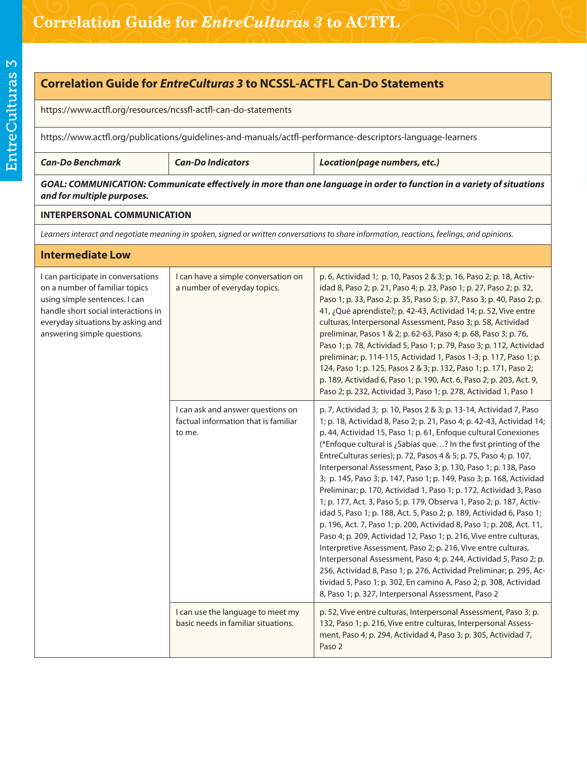| <b>Correlation Guide for EntreCulturas 3 to NCSSL-ACTFL Can-Do Statements</b>                                                                                                                                    |                                                                                     |                                                                                                                                                                                                                                                                                                                                                                                                                                                                                                                                                                                                                                                                                                                                                                                                                                                                                                                                                                                                                                                                                                                                                                                                                |
|------------------------------------------------------------------------------------------------------------------------------------------------------------------------------------------------------------------|-------------------------------------------------------------------------------------|----------------------------------------------------------------------------------------------------------------------------------------------------------------------------------------------------------------------------------------------------------------------------------------------------------------------------------------------------------------------------------------------------------------------------------------------------------------------------------------------------------------------------------------------------------------------------------------------------------------------------------------------------------------------------------------------------------------------------------------------------------------------------------------------------------------------------------------------------------------------------------------------------------------------------------------------------------------------------------------------------------------------------------------------------------------------------------------------------------------------------------------------------------------------------------------------------------------|
| https://www.actfl.org/resources/ncssfl-actfl-can-do-statements                                                                                                                                                   |                                                                                     |                                                                                                                                                                                                                                                                                                                                                                                                                                                                                                                                                                                                                                                                                                                                                                                                                                                                                                                                                                                                                                                                                                                                                                                                                |
|                                                                                                                                                                                                                  |                                                                                     | https://www.actfl.org/publications/guidelines-and-manuals/actfl-performance-descriptors-language-learners                                                                                                                                                                                                                                                                                                                                                                                                                                                                                                                                                                                                                                                                                                                                                                                                                                                                                                                                                                                                                                                                                                      |
| <b>Can-Do Benchmark</b>                                                                                                                                                                                          | <b>Can-Do Indicators</b>                                                            | Location(page numbers, etc.)                                                                                                                                                                                                                                                                                                                                                                                                                                                                                                                                                                                                                                                                                                                                                                                                                                                                                                                                                                                                                                                                                                                                                                                   |
| and for multiple purposes.                                                                                                                                                                                       |                                                                                     | GOAL: COMMUNICATION: Communicate effectively in more than one language in order to function in a variety of situations                                                                                                                                                                                                                                                                                                                                                                                                                                                                                                                                                                                                                                                                                                                                                                                                                                                                                                                                                                                                                                                                                         |
| <b>INTERPERSONAL COMMUNICATION</b>                                                                                                                                                                               |                                                                                     |                                                                                                                                                                                                                                                                                                                                                                                                                                                                                                                                                                                                                                                                                                                                                                                                                                                                                                                                                                                                                                                                                                                                                                                                                |
|                                                                                                                                                                                                                  |                                                                                     | Learners interact and negotiate meaning in spoken, signed or written conversations to share information, reactions, feelings, and opinions.                                                                                                                                                                                                                                                                                                                                                                                                                                                                                                                                                                                                                                                                                                                                                                                                                                                                                                                                                                                                                                                                    |
| <b>Intermediate Low</b>                                                                                                                                                                                          |                                                                                     |                                                                                                                                                                                                                                                                                                                                                                                                                                                                                                                                                                                                                                                                                                                                                                                                                                                                                                                                                                                                                                                                                                                                                                                                                |
| I can participate in conversations<br>on a number of familiar topics<br>using simple sentences. I can<br>handle short social interactions in<br>everyday situations by asking and<br>answering simple questions. | I can have a simple conversation on<br>a number of everyday topics.                 | p. 6, Actividad 1; p. 10, Pasos 2 & 3; p. 16, Paso 2; p. 18, Activ-<br>idad 8, Paso 2; p. 21, Paso 4; p. 23, Paso 1; p. 27, Paso 2; p. 32,<br>Paso 1; p. 33, Paso 2; p. 35, Paso 5; p. 37, Paso 3; p. 40, Paso 2; p.<br>41, ¿Qué aprendiste?; p. 42-43, Actividad 14; p. 52, Vive entre<br>culturas, Interpersonal Assessment, Paso 3; p. 58, Actividad<br>preliminar, Pasos 1 & 2; p. 62-63, Paso 4; p. 68, Paso 3; p. 76,<br>Paso 1; p. 78, Actividad 5, Paso 1; p. 79, Paso 3; p. 112, Actividad<br>preliminar; p. 114-115, Actividad 1, Pasos 1-3; p. 117, Paso 1; p.<br>124, Paso 1; p. 125, Pasos 2 & 3; p. 132, Paso 1; p. 171, Paso 2;<br>p. 189, Actividad 6, Paso 1; p. 190, Act. 6, Paso 2; p. 203, Act. 9,<br>Paso 2; p. 232, Actividad 3, Paso 1; p. 278, Actividad 1, Paso 1                                                                                                                                                                                                                                                                                                                                                                                                                     |
|                                                                                                                                                                                                                  | I can ask and answer questions on<br>factual information that is familiar<br>to me. | p. 7, Actividad 3; p. 10, Pasos 2 & 3; p. 13-14, Actividad 7, Paso<br>1; p. 18, Actividad 8, Paso 2; p. 21, Paso 4; p. 42-43, Actividad 14;<br>p. 44, Actividad 15, Paso 1; p. 61, Enfoque cultural Conexiones<br>(*Enfoque cultural is ¿Sabías que? In the first printing of the<br>EntreCulturas series); p. 72, Pasos 4 & 5; p. 75, Paso 4; p. 107,<br>Interpersonal Assessment, Paso 3; p. 130, Paso 1; p. 138, Paso<br>3; p. 145, Paso 3; p. 147, Paso 1; p. 149, Paso 3; p. 168, Actividad<br>Preliminar; p. 170, Actividad 1, Paso 1; p. 172, Actividad 3, Paso<br>1; p. 177, Act. 3, Paso 5; p. 179, Observa 1, Paso 2; p. 187, Activ-<br>idad 5, Paso 1; p. 188, Act. 5, Paso 2; p. 189, Actividad 6, Paso 1;<br>p. 196, Act. 7, Paso 1; p. 200, Actividad 8, Paso 1; p. 208, Act. 11,<br>Paso 4; p. 209, Actividad 12, Paso 1; p. 216, Vive entre culturas,<br>Interpretive Assessment, Paso 2; p. 216, Vive entre culturas,<br>Interpersonal Assessment, Paso 4; p. 244, Actividad 5, Paso 2; p.<br>256, Actividad 8, Paso 1; p. 276, Actividad Preliminar; p. 295, Ac-<br>tividad 5, Paso 1; p. 302, En camino A, Paso 2; p. 308, Actividad<br>8, Paso 1; p. 327, Interpersonal Assessment, Paso 2 |
|                                                                                                                                                                                                                  | I can use the language to meet my<br>basic needs in familiar situations.            | p. 52, Vive entre culturas, Interpersonal Assessment, Paso 3; p.<br>132, Paso 1; p. 216, Vive entre culturas, Interpersonal Assess-<br>ment, Paso 4; p. 294, Actividad 4, Paso 3; p. 305, Actividad 7,<br>Paso 2                                                                                                                                                                                                                                                                                                                                                                                                                                                                                                                                                                                                                                                                                                                                                                                                                                                                                                                                                                                               |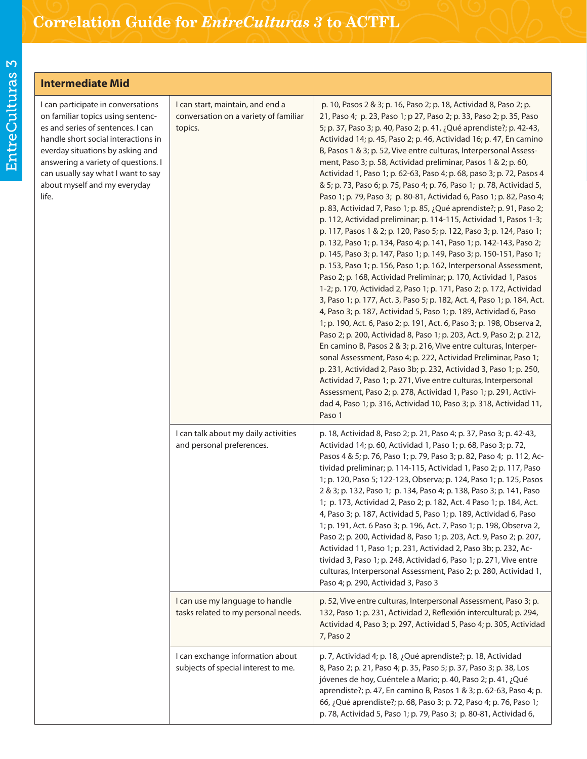| <b>Intermediate Mid</b>                                                                                                                                                                                                                                                                                       |                                                                                      |                                                                                                                                                                                                                                                                                                                                                                                                                                                                                                                                                                                                                                                                                                                                                                                                                                                                                                                                                                                                                                                                                                                                                                                                                                                                                                                                                                                                                                                                                                                                                                                                                                                                                                                                                                                                                                                                                                                                                                              |
|---------------------------------------------------------------------------------------------------------------------------------------------------------------------------------------------------------------------------------------------------------------------------------------------------------------|--------------------------------------------------------------------------------------|------------------------------------------------------------------------------------------------------------------------------------------------------------------------------------------------------------------------------------------------------------------------------------------------------------------------------------------------------------------------------------------------------------------------------------------------------------------------------------------------------------------------------------------------------------------------------------------------------------------------------------------------------------------------------------------------------------------------------------------------------------------------------------------------------------------------------------------------------------------------------------------------------------------------------------------------------------------------------------------------------------------------------------------------------------------------------------------------------------------------------------------------------------------------------------------------------------------------------------------------------------------------------------------------------------------------------------------------------------------------------------------------------------------------------------------------------------------------------------------------------------------------------------------------------------------------------------------------------------------------------------------------------------------------------------------------------------------------------------------------------------------------------------------------------------------------------------------------------------------------------------------------------------------------------------------------------------------------------|
| I can participate in conversations<br>on familiar topics using sentenc-<br>es and series of sentences. I can<br>handle short social interactions in<br>everday situations by asking and<br>answering a variety of questions. I<br>can usually say what I want to say<br>about myself and my everyday<br>life. | I can start, maintain, and end a<br>conversation on a variety of familiar<br>topics. | p. 10, Pasos 2 & 3; p. 16, Paso 2; p. 18, Actividad 8, Paso 2; p.<br>21, Paso 4; p. 23, Paso 1; p 27, Paso 2; p. 33, Paso 2; p. 35, Paso<br>5; p. 37, Paso 3; p. 40, Paso 2; p. 41, ¿Qué aprendiste?; p. 42-43,<br>Actividad 14; p. 45, Paso 2; p. 46, Actividad 16; p. 47, En camino<br>B, Pasos 1 & 3; p. 52, Vive entre culturas, Interpersonal Assess-<br>ment, Paso 3; p. 58, Actividad preliminar, Pasos 1 & 2; p. 60,<br>Actividad 1, Paso 1; p. 62-63, Paso 4; p. 68, paso 3; p. 72, Pasos 4<br>& 5; p. 73, Paso 6; p. 75, Paso 4; p. 76, Paso 1; p. 78, Actividad 5,<br>Paso 1; p. 79, Paso 3; p. 80-81, Actividad 6, Paso 1; p. 82, Paso 4;<br>p. 83, Actividad 7, Paso 1; p. 85, ¿Qué aprendiste?; p. 91, Paso 2;<br>p. 112, Actividad preliminar; p. 114-115, Actividad 1, Pasos 1-3;<br>p. 117, Pasos 1 & 2; p. 120, Paso 5; p. 122, Paso 3; p. 124, Paso 1;<br>p. 132, Paso 1; p. 134, Paso 4; p. 141, Paso 1; p. 142-143, Paso 2;<br>p. 145, Paso 3; p. 147, Paso 1; p. 149, Paso 3; p. 150-151, Paso 1;<br>p. 153, Paso 1; p. 156, Paso 1; p. 162, Interpersonal Assessment,<br>Paso 2; p. 168, Actividad Preliminar; p. 170, Actividad 1, Pasos<br>1-2; p. 170, Actividad 2, Paso 1; p. 171, Paso 2; p. 172, Actividad<br>3, Paso 1; p. 177, Act. 3, Paso 5; p. 182, Act. 4, Paso 1; p. 184, Act.<br>4, Paso 3; p. 187, Actividad 5, Paso 1; p. 189, Actividad 6, Paso<br>1; p. 190, Act. 6, Paso 2; p. 191, Act. 6, Paso 3; p. 198, Observa 2,<br>Paso 2; p. 200, Actividad 8, Paso 1; p. 203, Act. 9, Paso 2; p. 212,<br>En camino B, Pasos 2 & 3; p. 216, Vive entre culturas, Interper-<br>sonal Assessment, Paso 4; p. 222, Actividad Preliminar, Paso 1;<br>p. 231, Actividad 2, Paso 3b; p. 232, Actividad 3, Paso 1; p. 250,<br>Actividad 7, Paso 1; p. 271, Vive entre culturas, Interpersonal<br>Assessment, Paso 2; p. 278, Actividad 1, Paso 1; p. 291, Activi-<br>dad 4, Paso 1; p. 316, Actividad 10, Paso 3; p. 318, Actividad 11,<br>Paso 1 |
|                                                                                                                                                                                                                                                                                                               | I can talk about my daily activities<br>and personal preferences.                    | p. 18, Actividad 8, Paso 2; p. 21, Paso 4; p. 37, Paso 3; p. 42-43,<br>Actividad 14; p. 60, Actividad 1, Paso 1; p. 68, Paso 3; p. 72,<br>Pasos 4 & 5; p. 76, Paso 1; p. 79, Paso 3; p. 82, Paso 4; p. 112, Ac-<br>tividad preliminar; p. 114-115, Actividad 1, Paso 2; p. 117, Paso<br>1; p. 120, Paso 5; 122-123, Observa; p. 124, Paso 1; p. 125, Pasos<br>2 & 3; p. 132, Paso 1; p. 134, Paso 4; p. 138, Paso 3; p. 141, Paso<br>1; p. 173, Actividad 2, Paso 2; p. 182, Act. 4 Paso 1; p. 184, Act.<br>4, Paso 3; p. 187, Actividad 5, Paso 1; p. 189, Actividad 6, Paso<br>1; p. 191, Act. 6 Paso 3; p. 196, Act. 7, Paso 1; p. 198, Observa 2,<br>Paso 2; p. 200, Actividad 8, Paso 1; p. 203, Act. 9, Paso 2; p. 207,<br>Actividad 11, Paso 1; p. 231, Actividad 2, Paso 3b; p. 232, Ac-<br>tividad 3, Paso 1; p. 248, Actividad 6, Paso 1; p. 271, Vive entre<br>culturas, Interpersonal Assessment, Paso 2; p. 280, Actividad 1,<br>Paso 4; p. 290, Actividad 3, Paso 3                                                                                                                                                                                                                                                                                                                                                                                                                                                                                                                                                                                                                                                                                                                                                                                                                                                                                                                                                                                            |
|                                                                                                                                                                                                                                                                                                               | I can use my language to handle<br>tasks related to my personal needs.               | p. 52, Vive entre culturas, Interpersonal Assessment, Paso 3; p.<br>132, Paso 1; p. 231, Actividad 2, Reflexión intercultural; p. 294,<br>Actividad 4, Paso 3; p. 297, Actividad 5, Paso 4; p. 305, Actividad<br>7, Paso 2                                                                                                                                                                                                                                                                                                                                                                                                                                                                                                                                                                                                                                                                                                                                                                                                                                                                                                                                                                                                                                                                                                                                                                                                                                                                                                                                                                                                                                                                                                                                                                                                                                                                                                                                                   |
|                                                                                                                                                                                                                                                                                                               | I can exchange information about<br>subjects of special interest to me.              | p. 7, Actividad 4; p. 18, ¿Qué aprendiste?; p. 18, Actividad<br>8, Paso 2; p. 21, Paso 4; p. 35, Paso 5; p. 37, Paso 3; p. 38, Los<br>jóvenes de hoy, Cuéntele a Mario; p. 40, Paso 2; p. 41, ¿Qué<br>aprendiste?; p. 47, En camino B, Pasos 1 & 3; p. 62-63, Paso 4; p.<br>66, ¿Qué aprendiste?; p. 68, Paso 3; p. 72, Paso 4; p. 76, Paso 1;<br>p. 78, Actividad 5, Paso 1; p. 79, Paso 3; p. 80-81, Actividad 6,                                                                                                                                                                                                                                                                                                                                                                                                                                                                                                                                                                                                                                                                                                                                                                                                                                                                                                                                                                                                                                                                                                                                                                                                                                                                                                                                                                                                                                                                                                                                                          |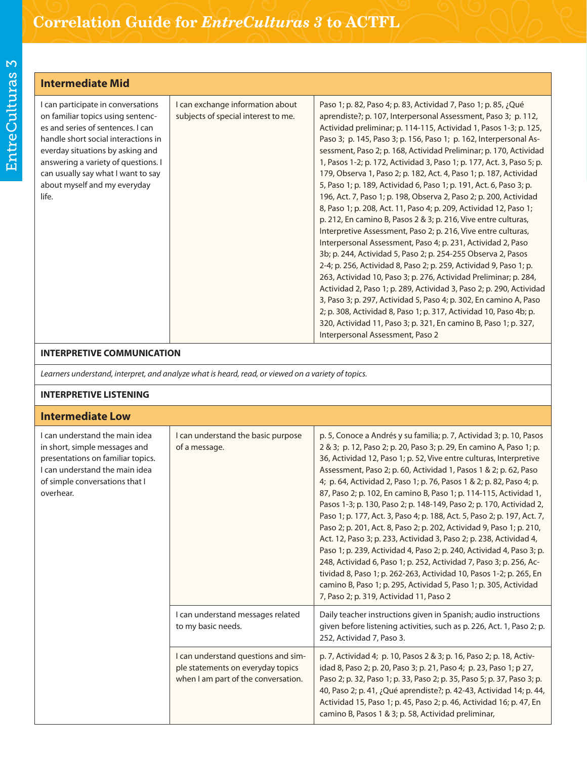| <b>Intermediate Mid</b>                                                                                                                                                                                                                                                                                       |                                                                         |                                                                                                                                                                                                                                                                                                                                                                                                                                                                                                                                                                                                                                                                                                                                                                                                                                                                                                                                                                                                                                                                                                                                                                                                                                                                                                                                                                                                                                                  |
|---------------------------------------------------------------------------------------------------------------------------------------------------------------------------------------------------------------------------------------------------------------------------------------------------------------|-------------------------------------------------------------------------|--------------------------------------------------------------------------------------------------------------------------------------------------------------------------------------------------------------------------------------------------------------------------------------------------------------------------------------------------------------------------------------------------------------------------------------------------------------------------------------------------------------------------------------------------------------------------------------------------------------------------------------------------------------------------------------------------------------------------------------------------------------------------------------------------------------------------------------------------------------------------------------------------------------------------------------------------------------------------------------------------------------------------------------------------------------------------------------------------------------------------------------------------------------------------------------------------------------------------------------------------------------------------------------------------------------------------------------------------------------------------------------------------------------------------------------------------|
| I can participate in conversations<br>on familiar topics using sentenc-<br>es and series of sentences. I can<br>handle short social interactions in<br>everday situations by asking and<br>answering a variety of questions. I<br>can usually say what I want to say<br>about myself and my everyday<br>life. | I can exchange information about<br>subjects of special interest to me. | Paso 1; p. 82, Paso 4; p. 83, Actividad 7, Paso 1; p. 85, ¿Qué<br>aprendiste?; p. 107, Interpersonal Assessment, Paso 3; p. 112,<br>Actividad preliminar; p. 114-115, Actividad 1, Pasos 1-3; p. 125,<br>Paso 3; p. 145, Paso 3; p. 156, Paso 1; p. 162, Interpersonal As-<br>sessment, Paso 2; p. 168, Actividad Preliminar; p. 170, Actividad<br>1, Pasos 1-2; p. 172, Actividad 3, Paso 1; p. 177, Act. 3, Paso 5; p.<br>179, Observa 1, Paso 2; p. 182, Act. 4, Paso 1; p. 187, Actividad<br>5, Paso 1; p. 189, Actividad 6, Paso 1; p. 191, Act. 6, Paso 3; p.<br>196, Act. 7, Paso 1; p. 198, Observa 2, Paso 2; p. 200, Actividad<br>8, Paso 1; p. 208, Act. 11, Paso 4; p. 209, Actividad 12, Paso 1;<br>p. 212, En camino B, Pasos 2 & 3; p. 216, Vive entre culturas,<br>Interpretive Assessment, Paso 2; p. 216, Vive entre culturas,<br>Interpersonal Assessment, Paso 4; p. 231, Actividad 2, Paso<br>3b; p. 244, Actividad 5, Paso 2; p. 254-255 Observa 2, Pasos<br>2-4; p. 256, Actividad 8, Paso 2; p. 259, Actividad 9, Paso 1; p.<br>263, Actividad 10, Paso 3; p. 276, Actividad Preliminar; p. 284,<br>Actividad 2, Paso 1; p. 289, Actividad 3, Paso 2; p. 290, Actividad<br>3, Paso 3; p. 297, Actividad 5, Paso 4; p. 302, En camino A, Paso<br>2; p. 308, Actividad 8, Paso 1; p. 317, Actividad 10, Paso 4b; p.<br>320, Actividad 11, Paso 3; p. 321, En camino B, Paso 1; p. 327,<br>Interpersonal Assessment, Paso 2 |

### **INTERPRETIVE COMMUNICATION**

*Learners understand, interpret, and analyze what is heard, read, or viewed on a variety of topics.* 

### **INTERPRETIVE LISTENING**

| <b>Intermediate Low</b> |  |
|-------------------------|--|
|-------------------------|--|

| I can understand the main idea<br>in short, simple messages and<br>presentations on familiar topics.<br>I can understand the main idea<br>of simple conversations that I<br>overhear. | I can understand the basic purpose<br>of a message.                                                             | p. 5, Conoce a Andrés y su familia; p. 7, Actividad 3; p. 10, Pasos<br>2 & 3; p. 12, Paso 2; p. 20, Paso 3; p. 29, En camino A, Paso 1; p.<br>36, Actividad 12, Paso 1; p. 52, Vive entre culturas, Interpretive<br>Assessment, Paso 2; p. 60, Actividad 1, Pasos 1 & 2; p. 62, Paso<br>4; p. 64, Actividad 2, Paso 1; p. 76, Pasos 1 & 2; p. 82, Paso 4; p.<br>87, Paso 2; p. 102, En camino B, Paso 1; p. 114-115, Actividad 1,<br>Pasos 1-3; p. 130, Paso 2; p. 148-149, Paso 2; p. 170, Actividad 2,<br>Paso 1; p. 177, Act. 3, Paso 4; p. 188, Act. 5, Paso 2; p. 197, Act. 7,<br>Paso 2; p. 201, Act. 8, Paso 2; p. 202, Actividad 9, Paso 1; p. 210,<br>Act. 12, Paso 3; p. 233, Actividad 3, Paso 2; p. 238, Actividad 4,<br>Paso 1; p. 239, Actividad 4, Paso 2; p. 240, Actividad 4, Paso 3; p.<br>248, Actividad 6, Paso 1; p. 252, Actividad 7, Paso 3; p. 256, Ac-<br>tividad 8, Paso 1; p. 262-263, Actividad 10, Pasos 1-2; p. 265, En<br>camino B, Paso 1; p. 295, Actividad 5, Paso 1; p. 305, Actividad<br>7, Paso 2; p. 319, Actividad 11, Paso 2 |
|---------------------------------------------------------------------------------------------------------------------------------------------------------------------------------------|-----------------------------------------------------------------------------------------------------------------|----------------------------------------------------------------------------------------------------------------------------------------------------------------------------------------------------------------------------------------------------------------------------------------------------------------------------------------------------------------------------------------------------------------------------------------------------------------------------------------------------------------------------------------------------------------------------------------------------------------------------------------------------------------------------------------------------------------------------------------------------------------------------------------------------------------------------------------------------------------------------------------------------------------------------------------------------------------------------------------------------------------------------------------------------------------------|
|                                                                                                                                                                                       | I can understand messages related<br>to my basic needs.                                                         | Daily teacher instructions given in Spanish; audio instructions<br>given before listening activities, such as p. 226, Act. 1, Paso 2; p.<br>252, Actividad 7, Paso 3.                                                                                                                                                                                                                                                                                                                                                                                                                                                                                                                                                                                                                                                                                                                                                                                                                                                                                                |
|                                                                                                                                                                                       | I can understand questions and sim-<br>ple statements on everyday topics<br>when I am part of the conversation. | p. 7, Actividad 4; p. 10, Pasos 2 & 3; p. 16, Paso 2; p. 18, Activ-<br>idad 8, Paso 2; p. 20, Paso 3; p. 21, Paso 4; p. 23, Paso 1; p 27,<br>Paso 2; p. 32, Paso 1; p. 33, Paso 2; p. 35, Paso 5; p. 37, Paso 3; p.<br>40, Paso 2; p. 41, ¿Qué aprendiste?; p. 42-43, Actividad 14; p. 44,<br>Actividad 15, Paso 1; p. 45, Paso 2; p. 46, Actividad 16; p. 47, En<br>camino B, Pasos 1 & 3; p. 58, Actividad preliminar,                                                                                                                                                                                                                                                                                                                                                                                                                                                                                                                                                                                                                                             |
|                                                                                                                                                                                       |                                                                                                                 |                                                                                                                                                                                                                                                                                                                                                                                                                                                                                                                                                                                                                                                                                                                                                                                                                                                                                                                                                                                                                                                                      |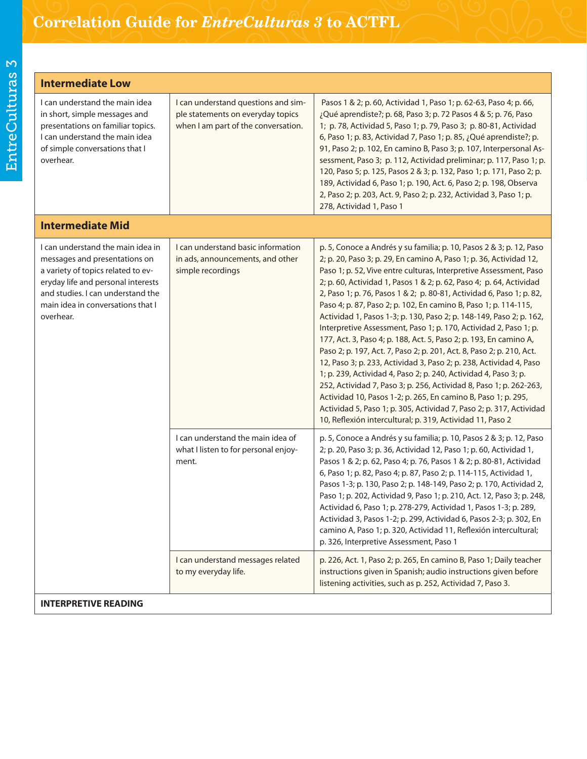| <b>Intermediate Low</b>                                                                                                                                                                                                               |                                                                                                                                                 |                                                                                                                                                                                                                                                                                                                                                                                                                                                                                                                                                                                                                                                                                                                                                                                                                                                                                                                                                                                                                                                                                                                                              |
|---------------------------------------------------------------------------------------------------------------------------------------------------------------------------------------------------------------------------------------|-------------------------------------------------------------------------------------------------------------------------------------------------|----------------------------------------------------------------------------------------------------------------------------------------------------------------------------------------------------------------------------------------------------------------------------------------------------------------------------------------------------------------------------------------------------------------------------------------------------------------------------------------------------------------------------------------------------------------------------------------------------------------------------------------------------------------------------------------------------------------------------------------------------------------------------------------------------------------------------------------------------------------------------------------------------------------------------------------------------------------------------------------------------------------------------------------------------------------------------------------------------------------------------------------------|
| I can understand the main idea<br>in short, simple messages and<br>presentations on familiar topics.<br>I can understand the main idea<br>of simple conversations that I<br>overhear.                                                 | I can understand questions and sim-<br>ple statements on everyday topics<br>when I am part of the conversation.                                 | Pasos 1 & 2; p. 60, Actividad 1, Paso 1; p. 62-63, Paso 4; p. 66,<br>¿Qué aprendiste?; p. 68, Paso 3; p. 72 Pasos 4 & 5; p. 76, Paso<br>1; p. 78, Actividad 5, Paso 1; p. 79, Paso 3; p. 80-81, Actividad<br>6, Paso 1; p. 83, Actividad 7, Paso 1; p. 85, ¿Qué aprendiste?; p.<br>91, Paso 2; p. 102, En camino B, Paso 3; p. 107, Interpersonal As-<br>sessment, Paso 3; p. 112, Actividad preliminar; p. 117, Paso 1; p.<br>120, Paso 5; p. 125, Pasos 2 & 3; p. 132, Paso 1; p. 171, Paso 2; p.<br>189, Actividad 6, Paso 1; p. 190, Act. 6, Paso 2; p. 198, Observa<br>2, Paso 2; p. 203, Act. 9, Paso 2; p. 232, Actividad 3, Paso 1; p.<br>278, Actividad 1, Paso 1                                                                                                                                                                                                                                                                                                                                                                                                                                                                   |
| <b>Intermediate Mid</b>                                                                                                                                                                                                               |                                                                                                                                                 |                                                                                                                                                                                                                                                                                                                                                                                                                                                                                                                                                                                                                                                                                                                                                                                                                                                                                                                                                                                                                                                                                                                                              |
| I can understand the main idea in<br>messages and presentations on<br>a variety of topics related to ev-<br>eryday life and personal interests<br>and studies. I can understand the<br>main idea in conversations that I<br>overhear. | I can understand basic information<br>in ads, announcements, and other<br>simple recordings                                                     | p. 5, Conoce a Andrés y su familia; p. 10, Pasos 2 & 3; p. 12, Paso<br>2; p. 20, Paso 3; p. 29, En camino A, Paso 1; p. 36, Actividad 12,<br>Paso 1; p. 52, Vive entre culturas, Interpretive Assessment, Paso<br>2; p. 60, Actividad 1, Pasos 1 & 2; p. 62, Paso 4; p. 64, Actividad<br>2, Paso 1; p. 76, Pasos 1 & 2; p. 80-81, Actividad 6, Paso 1; p. 82,<br>Paso 4; p. 87, Paso 2; p. 102, En camino B, Paso 1; p. 114-115,<br>Actividad 1, Pasos 1-3; p. 130, Paso 2; p. 148-149, Paso 2; p. 162,<br>Interpretive Assessment, Paso 1; p. 170, Actividad 2, Paso 1; p.<br>177, Act. 3, Paso 4; p. 188, Act. 5, Paso 2; p. 193, En camino A,<br>Paso 2; p. 197, Act. 7, Paso 2; p. 201, Act. 8, Paso 2; p. 210, Act.<br>12, Paso 3; p. 233, Actividad 3, Paso 2; p. 238, Actividad 4, Paso<br>1; p. 239, Actividad 4, Paso 2; p. 240, Actividad 4, Paso 3; p.<br>252, Actividad 7, Paso 3; p. 256, Actividad 8, Paso 1; p. 262-263,<br>Actividad 10, Pasos 1-2; p. 265, En camino B, Paso 1; p. 295,<br>Actividad 5, Paso 1; p. 305, Actividad 7, Paso 2; p. 317, Actividad<br>10, Reflexión intercultural; p. 319, Actividad 11, Paso 2 |
|                                                                                                                                                                                                                                       | I can understand the main idea of<br>what I listen to for personal enjoy-<br>ment.<br>I can understand messages related<br>to my everyday life. | p. 5, Conoce a Andrés y su familia; p. 10, Pasos 2 & 3; p. 12, Paso<br>2; p. 20, Paso 3; p. 36, Actividad 12, Paso 1; p. 60, Actividad 1,<br>Pasos 1 & 2; p. 62, Paso 4; p. 76, Pasos 1 & 2; p. 80-81, Actividad<br>6, Paso 1; p. 82, Paso 4; p. 87, Paso 2; p. 114-115, Actividad 1,<br>Pasos 1-3; p. 130, Paso 2; p. 148-149, Paso 2; p. 170, Actividad 2,<br>Paso 1; p. 202, Actividad 9, Paso 1; p. 210, Act. 12, Paso 3; p. 248,<br>Actividad 6, Paso 1; p. 278-279, Actividad 1, Pasos 1-3; p. 289,<br>Actividad 3, Pasos 1-2; p. 299, Actividad 6, Pasos 2-3; p. 302, En<br>camino A, Paso 1; p. 320, Actividad 11, Reflexión intercultural;<br>p. 326, Interpretive Assessment, Paso 1<br>p. 226, Act. 1, Paso 2; p. 265, En camino B, Paso 1; Daily teacher<br>instructions given in Spanish; audio instructions given before                                                                                                                                                                                                                                                                                                       |
|                                                                                                                                                                                                                                       |                                                                                                                                                 | listening activities, such as p. 252, Actividad 7, Paso 3.                                                                                                                                                                                                                                                                                                                                                                                                                                                                                                                                                                                                                                                                                                                                                                                                                                                                                                                                                                                                                                                                                   |
| <b>INTERPRETIVE READING</b>                                                                                                                                                                                                           |                                                                                                                                                 |                                                                                                                                                                                                                                                                                                                                                                                                                                                                                                                                                                                                                                                                                                                                                                                                                                                                                                                                                                                                                                                                                                                                              |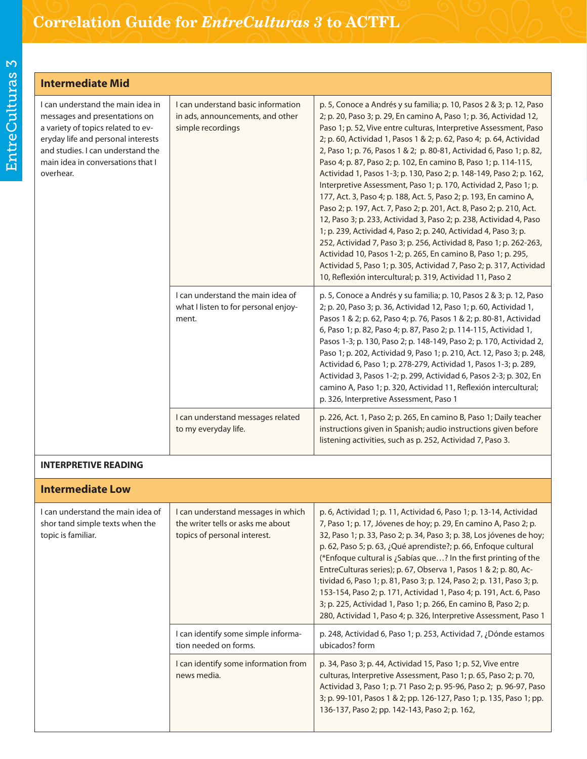| <b>Intermediate Mid</b>                                                                                                                                                                                                               |                                                                                             |                                                                                                                                                                                                                                                                                                                                                                                                                                                                                                                                                                                                                                                                                                                                                                                                                                                                                                                                                                                                                                                                                                                                              |
|---------------------------------------------------------------------------------------------------------------------------------------------------------------------------------------------------------------------------------------|---------------------------------------------------------------------------------------------|----------------------------------------------------------------------------------------------------------------------------------------------------------------------------------------------------------------------------------------------------------------------------------------------------------------------------------------------------------------------------------------------------------------------------------------------------------------------------------------------------------------------------------------------------------------------------------------------------------------------------------------------------------------------------------------------------------------------------------------------------------------------------------------------------------------------------------------------------------------------------------------------------------------------------------------------------------------------------------------------------------------------------------------------------------------------------------------------------------------------------------------------|
| I can understand the main idea in<br>messages and presentations on<br>a variety of topics related to ev-<br>eryday life and personal interests<br>and studies. I can understand the<br>main idea in conversations that I<br>overhear. | I can understand basic information<br>in ads, announcements, and other<br>simple recordings | p. 5, Conoce a Andrés y su familia; p. 10, Pasos 2 & 3; p. 12, Paso<br>2; p. 20, Paso 3; p. 29, En camino A, Paso 1; p. 36, Actividad 12,<br>Paso 1; p. 52, Vive entre culturas, Interpretive Assessment, Paso<br>2; p. 60, Actividad 1, Pasos 1 & 2; p. 62, Paso 4; p. 64, Actividad<br>2, Paso 1; p. 76, Pasos 1 & 2; p. 80-81, Actividad 6, Paso 1; p. 82,<br>Paso 4; p. 87, Paso 2; p. 102, En camino B, Paso 1; p. 114-115,<br>Actividad 1, Pasos 1-3; p. 130, Paso 2; p. 148-149, Paso 2; p. 162,<br>Interpretive Assessment, Paso 1; p. 170, Actividad 2, Paso 1; p.<br>177, Act. 3, Paso 4; p. 188, Act. 5, Paso 2; p. 193, En camino A,<br>Paso 2; p. 197, Act. 7, Paso 2; p. 201, Act. 8, Paso 2; p. 210, Act.<br>12, Paso 3; p. 233, Actividad 3, Paso 2; p. 238, Actividad 4, Paso<br>1; p. 239, Actividad 4, Paso 2; p. 240, Actividad 4, Paso 3; p.<br>252, Actividad 7, Paso 3; p. 256, Actividad 8, Paso 1; p. 262-263,<br>Actividad 10, Pasos 1-2; p. 265, En camino B, Paso 1; p. 295,<br>Actividad 5, Paso 1; p. 305, Actividad 7, Paso 2; p. 317, Actividad<br>10, Reflexión intercultural; p. 319, Actividad 11, Paso 2 |
|                                                                                                                                                                                                                                       | I can understand the main idea of<br>what I listen to for personal enjoy-<br>ment.          | p. 5, Conoce a Andrés y su familia; p. 10, Pasos 2 & 3; p. 12, Paso<br>2; p. 20, Paso 3; p. 36, Actividad 12, Paso 1; p. 60, Actividad 1,<br>Pasos 1 & 2; p. 62, Paso 4; p. 76, Pasos 1 & 2; p. 80-81, Actividad<br>6, Paso 1; p. 82, Paso 4; p. 87, Paso 2; p. 114-115, Actividad 1,<br>Pasos 1-3; p. 130, Paso 2; p. 148-149, Paso 2; p. 170, Actividad 2,<br>Paso 1; p. 202, Actividad 9, Paso 1; p. 210, Act. 12, Paso 3; p. 248,<br>Actividad 6, Paso 1; p. 278-279, Actividad 1, Pasos 1-3; p. 289,<br>Actividad 3, Pasos 1-2; p. 299, Actividad 6, Pasos 2-3; p. 302, En<br>camino A, Paso 1; p. 320, Actividad 11, Reflexión intercultural;<br>p. 326, Interpretive Assessment, Paso 1                                                                                                                                                                                                                                                                                                                                                                                                                                               |
|                                                                                                                                                                                                                                       | I can understand messages related<br>to my everyday life.                                   | p. 226, Act. 1, Paso 2; p. 265, En camino B, Paso 1; Daily teacher<br>instructions given in Spanish; audio instructions given before<br>listening activities, such as p. 252, Actividad 7, Paso 3.                                                                                                                                                                                                                                                                                                                                                                                                                                                                                                                                                                                                                                                                                                                                                                                                                                                                                                                                           |

# **INTERPRETIVE READING**

| <b>Intermediate Low</b>                                                                    |                                                                                                         |                                                                                                                                                                                                                                                                                                                                                                                                                                                                                                                                                                                                                                                                                                                |
|--------------------------------------------------------------------------------------------|---------------------------------------------------------------------------------------------------------|----------------------------------------------------------------------------------------------------------------------------------------------------------------------------------------------------------------------------------------------------------------------------------------------------------------------------------------------------------------------------------------------------------------------------------------------------------------------------------------------------------------------------------------------------------------------------------------------------------------------------------------------------------------------------------------------------------------|
| I can understand the main idea of<br>shor tand simple texts when the<br>topic is familiar. | I can understand messages in which<br>the writer tells or asks me about<br>topics of personal interest. | p. 6, Actividad 1; p. 11, Actividad 6, Paso 1; p. 13-14, Actividad<br>7, Paso 1; p. 17, Jóvenes de hoy; p. 29, En camino A, Paso 2; p.<br>32, Paso 1; p. 33, Paso 2; p. 34, Paso 3; p. 38, Los jóvenes de hoy;<br>p. 62, Paso 5; p. 63, ¿Qué aprendiste?; p. 66, Enfoque cultural<br>(*Enfoque cultural is ¿Sabías que? In the first printing of the<br>EntreCulturas series); p. 67, Observa 1, Pasos 1 & 2; p. 80, Ac-<br>tividad 6, Paso 1; p. 81, Paso 3; p. 124, Paso 2; p. 131, Paso 3; p.<br>153-154, Paso 2; p. 171, Actividad 1, Paso 4; p. 191, Act. 6, Paso<br>3; p. 225, Actividad 1, Paso 1; p. 266, En camino B, Paso 2; p.<br>280, Actividad 1, Paso 4; p. 326, Interpretive Assessment, Paso 1 |
|                                                                                            | I can identify some simple informa-<br>tion needed on forms.                                            | p. 248, Actividad 6, Paso 1; p. 253, Actividad 7, ¿Dónde estamos<br>ubicados? form                                                                                                                                                                                                                                                                                                                                                                                                                                                                                                                                                                                                                             |
|                                                                                            | I can identify some information from<br>news media.                                                     | p. 34, Paso 3; p. 44, Actividad 15, Paso 1; p. 52, Vive entre<br>culturas, Interpretive Assessment, Paso 1; p. 65, Paso 2; p. 70,<br>Actividad 3, Paso 1; p. 71 Paso 2; p. 95-96, Paso 2; p. 96-97, Paso<br>3; p. 99-101, Pasos 1 & 2; pp. 126-127, Paso 1; p. 135, Paso 1; pp.<br>136-137, Paso 2; pp. 142-143, Paso 2; p. 162,                                                                                                                                                                                                                                                                                                                                                                               |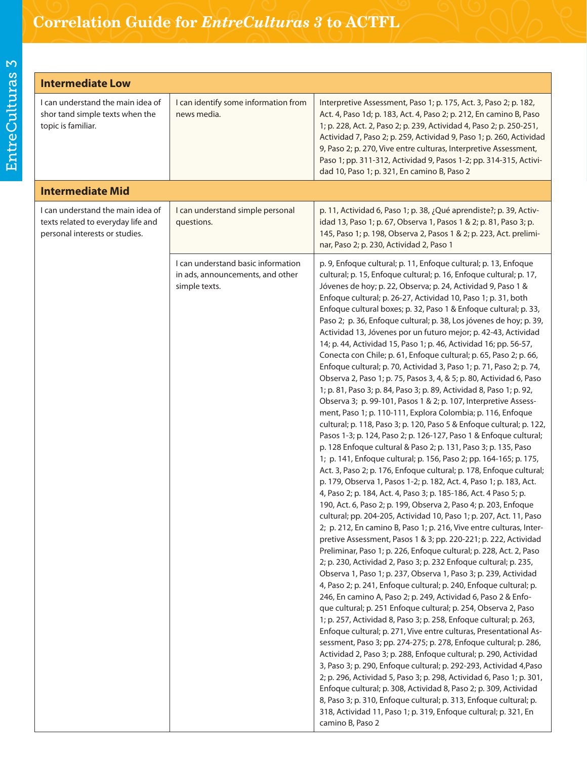| <b>Intermediate Low</b>                                                                                   |                                                                                         |                                                                                                                                                                                                                                                                                                                                                                                                                                                                                                                                                                                                                                                                                                                                                                                                                                                                                                                                                                                                                                                                                                                                                                                                                                                                                                                                                                                                                                                                                                                                                                                                                                                                                                                                                                                                                                                                                                                                                                                                                                                                                                                                                                                                                                                                                                                                                                                                                                                                                                                                                                                                                                                                                                                                                                                                                                                                 |
|-----------------------------------------------------------------------------------------------------------|-----------------------------------------------------------------------------------------|-----------------------------------------------------------------------------------------------------------------------------------------------------------------------------------------------------------------------------------------------------------------------------------------------------------------------------------------------------------------------------------------------------------------------------------------------------------------------------------------------------------------------------------------------------------------------------------------------------------------------------------------------------------------------------------------------------------------------------------------------------------------------------------------------------------------------------------------------------------------------------------------------------------------------------------------------------------------------------------------------------------------------------------------------------------------------------------------------------------------------------------------------------------------------------------------------------------------------------------------------------------------------------------------------------------------------------------------------------------------------------------------------------------------------------------------------------------------------------------------------------------------------------------------------------------------------------------------------------------------------------------------------------------------------------------------------------------------------------------------------------------------------------------------------------------------------------------------------------------------------------------------------------------------------------------------------------------------------------------------------------------------------------------------------------------------------------------------------------------------------------------------------------------------------------------------------------------------------------------------------------------------------------------------------------------------------------------------------------------------------------------------------------------------------------------------------------------------------------------------------------------------------------------------------------------------------------------------------------------------------------------------------------------------------------------------------------------------------------------------------------------------------------------------------------------------------------------------------------------------|
| I can understand the main idea of<br>shor tand simple texts when the<br>topic is familiar.                | I can identify some information from<br>news media.                                     | Interpretive Assessment, Paso 1; p. 175, Act. 3, Paso 2; p. 182,<br>Act. 4, Paso 1d; p. 183, Act. 4, Paso 2; p. 212, En camino B, Paso<br>1; p. 228, Act. 2, Paso 2; p. 239, Actividad 4, Paso 2; p. 250-251,<br>Actividad 7, Paso 2; p. 259, Actividad 9, Paso 1; p. 260, Actividad<br>9, Paso 2; p. 270, Vive entre culturas, Interpretive Assessment,<br>Paso 1; pp. 311-312, Actividad 9, Pasos 1-2; pp. 314-315, Activi-<br>dad 10, Paso 1; p. 321, En camino B, Paso 2                                                                                                                                                                                                                                                                                                                                                                                                                                                                                                                                                                                                                                                                                                                                                                                                                                                                                                                                                                                                                                                                                                                                                                                                                                                                                                                                                                                                                                                                                                                                                                                                                                                                                                                                                                                                                                                                                                                                                                                                                                                                                                                                                                                                                                                                                                                                                                                    |
| <b>Intermediate Mid</b>                                                                                   |                                                                                         |                                                                                                                                                                                                                                                                                                                                                                                                                                                                                                                                                                                                                                                                                                                                                                                                                                                                                                                                                                                                                                                                                                                                                                                                                                                                                                                                                                                                                                                                                                                                                                                                                                                                                                                                                                                                                                                                                                                                                                                                                                                                                                                                                                                                                                                                                                                                                                                                                                                                                                                                                                                                                                                                                                                                                                                                                                                                 |
| I can understand the main idea of<br>texts related to everyday life and<br>personal interests or studies. | I can understand simple personal<br>questions.                                          | p. 11, Actividad 6, Paso 1; p. 38, ¿Qué aprendiste?; p. 39, Activ-<br>idad 13, Paso 1; p. 67, Observa 1, Pasos 1 & 2; p. 81, Paso 3; p.<br>145, Paso 1; p. 198, Observa 2, Pasos 1 & 2; p. 223, Act. prelimi-<br>nar, Paso 2; p. 230, Actividad 2, Paso 1                                                                                                                                                                                                                                                                                                                                                                                                                                                                                                                                                                                                                                                                                                                                                                                                                                                                                                                                                                                                                                                                                                                                                                                                                                                                                                                                                                                                                                                                                                                                                                                                                                                                                                                                                                                                                                                                                                                                                                                                                                                                                                                                                                                                                                                                                                                                                                                                                                                                                                                                                                                                       |
|                                                                                                           | I can understand basic information<br>in ads, announcements, and other<br>simple texts. | p. 9, Enfoque cultural; p. 11, Enfoque cultural; p. 13, Enfoque<br>cultural; p. 15, Enfoque cultural; p. 16, Enfoque cultural; p. 17,<br>Jóvenes de hoy; p. 22, Observa; p. 24, Actividad 9, Paso 1 &<br>Enfoque cultural; p. 26-27, Actividad 10, Paso 1; p. 31, both<br>Enfoque cultural boxes; p. 32, Paso 1 & Enfoque cultural; p. 33,<br>Paso 2; p. 36, Enfoque cultural; p. 38, Los jóvenes de hoy; p. 39,<br>Actividad 13, Jóvenes por un futuro mejor; p. 42-43, Actividad<br>14; p. 44, Actividad 15, Paso 1; p. 46, Actividad 16; pp. 56-57,<br>Conecta con Chile; p. 61, Enfoque cultural; p. 65, Paso 2; p. 66,<br>Enfoque cultural; p. 70, Actividad 3, Paso 1; p. 71, Paso 2; p. 74,<br>Observa 2, Paso 1; p. 75, Pasos 3, 4, & 5; p. 80, Actividad 6, Paso<br>1; p. 81, Paso 3; p. 84, Paso 3; p. 89, Actividad 8, Paso 1; p. 92,<br>Observa 3; p. 99-101, Pasos 1 & 2; p. 107, Interpretive Assess-<br>ment, Paso 1; p. 110-111, Explora Colombia; p. 116, Enfoque<br>cultural; p. 118, Paso 3; p. 120, Paso 5 & Enfoque cultural; p. 122,<br>Pasos 1-3; p. 124, Paso 2; p. 126-127, Paso 1 & Enfoque cultural;<br>p. 128 Enfoque cultural & Paso 2; p. 131, Paso 3; p. 135, Paso<br>1; p. 141, Enfoque cultural; p. 156, Paso 2; pp. 164-165; p. 175,<br>Act. 3, Paso 2; p. 176, Enfoque cultural; p. 178, Enfoque cultural;<br>p. 179, Observa 1, Pasos 1-2; p. 182, Act. 4, Paso 1; p. 183, Act.<br>4, Paso 2; p. 184, Act. 4, Paso 3; p. 185-186, Act. 4 Paso 5; p.<br>190, Act. 6, Paso 2; p. 199, Observa 2, Paso 4; p. 203, Enfoque<br>cultural; pp. 204-205, Actividad 10, Paso 1; p. 207, Act. 11, Paso<br>2; p. 212, En camino B, Paso 1; p. 216, Vive entre culturas, Inter-<br>pretive Assessment, Pasos 1 & 3; pp. 220-221; p. 222, Actividad<br>Preliminar, Paso 1; p. 226, Enfoque cultural; p. 228, Act. 2, Paso<br>2; p. 230, Actividad 2, Paso 3; p. 232 Enfoque cultural; p. 235,<br>Observa 1, Paso 1; p. 237, Observa 1, Paso 3; p. 239, Actividad<br>4, Paso 2; p. 241, Enfoque cultural; p. 240, Enfoque cultural; p.<br>246, En camino A, Paso 2; p. 249, Actividad 6, Paso 2 & Enfo-<br>que cultural; p. 251 Enfoque cultural; p. 254, Observa 2, Paso<br>1; p. 257, Actividad 8, Paso 3; p. 258, Enfoque cultural; p. 263,<br>Enfoque cultural; p. 271, Vive entre culturas, Presentational As-<br>sessment, Paso 3; pp. 274-275; p. 278, Enfoque cultural; p. 286,<br>Actividad 2, Paso 3; p. 288, Enfoque cultural; p. 290, Actividad<br>3, Paso 3; p. 290, Enfoque cultural; p. 292-293, Actividad 4, Paso<br>2; p. 296, Actividad 5, Paso 3; p. 298, Actividad 6, Paso 1; p. 301,<br>Enfoque cultural; p. 308, Actividad 8, Paso 2; p. 309, Actividad<br>8, Paso 3; p. 310, Enfoque cultural; p. 313, Enfoque cultural; p.<br>318, Actividad 11, Paso 1; p. 319, Enfoque cultural; p. 321, En<br>camino B, Paso 2 |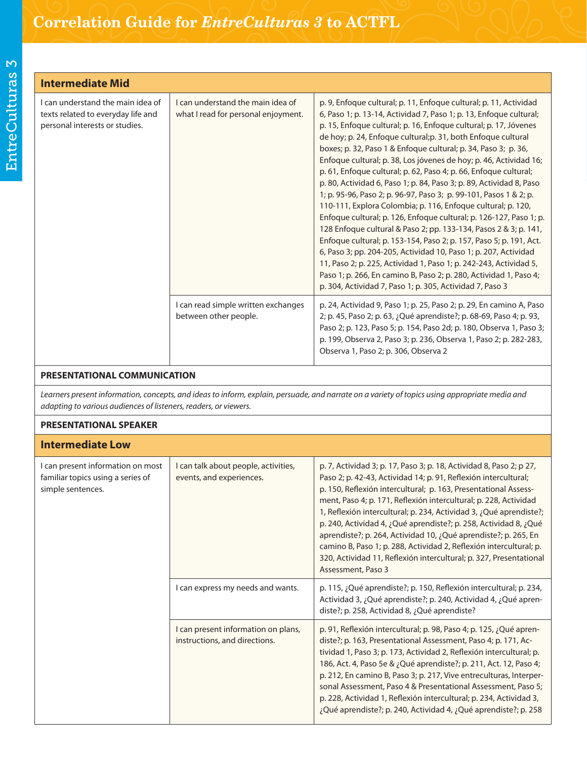| <b>Intermediate Mid</b>                                                                                   |                                                                          |                                                                                                                                                                                                                                                                                                                                                                                                                                                                                                                                                                                                                                                                                                                                                                                                                                                                                                                                                                                                                                                                                                                                                                                              |
|-----------------------------------------------------------------------------------------------------------|--------------------------------------------------------------------------|----------------------------------------------------------------------------------------------------------------------------------------------------------------------------------------------------------------------------------------------------------------------------------------------------------------------------------------------------------------------------------------------------------------------------------------------------------------------------------------------------------------------------------------------------------------------------------------------------------------------------------------------------------------------------------------------------------------------------------------------------------------------------------------------------------------------------------------------------------------------------------------------------------------------------------------------------------------------------------------------------------------------------------------------------------------------------------------------------------------------------------------------------------------------------------------------|
| I can understand the main idea of<br>texts related to everyday life and<br>personal interests or studies. | I can understand the main idea of<br>what I read for personal enjoyment. | p. 9, Enfoque cultural; p. 11, Enfoque cultural; p. 11, Actividad<br>6, Paso 1; p. 13-14, Actividad 7, Paso 1; p. 13, Enfoque cultural;<br>p. 15, Enfoque cultural; p. 16, Enfoque cultural; p. 17, Jóvenes<br>de hoy; p. 24, Enfoque cultural; p. 31, both Enfoque cultural<br>boxes; p. 32, Paso 1 & Enfoque cultural; p. 34, Paso 3; p. 36,<br>Enfoque cultural; p. 38, Los jóvenes de hoy; p. 46, Actividad 16;<br>p. 61, Enfoque cultural; p. 62, Paso 4; p. 66, Enfoque cultural;<br>p. 80, Actividad 6, Paso 1; p. 84, Paso 3; p. 89, Actividad 8, Paso<br>1; p. 95-96, Paso 2; p. 96-97, Paso 3; p. 99-101, Pasos 1 & 2; p.<br>110-111, Explora Colombia; p. 116, Enfoque cultural; p. 120,<br>Enfoque cultural; p. 126, Enfoque cultural; p. 126-127, Paso 1; p.<br>128 Enfoque cultural & Paso 2; pp. 133-134, Pasos 2 & 3; p. 141,<br>Enfoque cultural; p. 153-154, Paso 2; p. 157, Paso 5; p. 191, Act.<br>6, Paso 3; pp. 204-205, Actividad 10, Paso 1; p. 207, Actividad<br>11, Paso 2; p. 225, Actividad 1, Paso 1; p. 242-243, Actividad 5,<br>Paso 1; p. 266, En camino B, Paso 2; p. 280, Actividad 1, Paso 4;<br>p. 304, Actividad 7, Paso 1; p. 305, Actividad 7, Paso 3 |
|                                                                                                           | I can read simple written exchanges<br>between other people.             | p. 24, Actividad 9, Paso 1; p. 25, Paso 2; p. 29, En camino A, Paso<br>2; p. 45, Paso 2; p. 63, ¿Qué aprendiste?; p. 68-69, Paso 4; p. 93,<br>Paso 2; p. 123, Paso 5; p. 154, Paso 2d; p. 180, Observa 1, Paso 3;<br>p. 199, Observa 2, Paso 3; p. 236, Observa 1, Paso 2; p. 282-283,<br>Observa 1, Paso 2; p. 306, Observa 2                                                                                                                                                                                                                                                                                                                                                                                                                                                                                                                                                                                                                                                                                                                                                                                                                                                               |

## **PRESENTATIONAL COMMUNICATION**

*Learners present information, concepts, and ideas to inform, explain, persuade, and narrate on a variety of topics using appropriate media and adapting to various audiences of listeners, readers, or viewers.* 

| <b>PRESENTATIONAL SPEAKER</b>                                                               |                                                                      |                                                                                                                                                                                                                                                                                                                                                                                                                                                                                                                                                                                                                                                              |
|---------------------------------------------------------------------------------------------|----------------------------------------------------------------------|--------------------------------------------------------------------------------------------------------------------------------------------------------------------------------------------------------------------------------------------------------------------------------------------------------------------------------------------------------------------------------------------------------------------------------------------------------------------------------------------------------------------------------------------------------------------------------------------------------------------------------------------------------------|
| <b>Intermediate Low</b>                                                                     |                                                                      |                                                                                                                                                                                                                                                                                                                                                                                                                                                                                                                                                                                                                                                              |
| I can present information on most<br>familiar topics using a series of<br>simple sentences. | I can talk about people, activities,<br>events, and experiences.     | p. 7, Actividad 3; p. 17, Paso 3; p. 18, Actividad 8, Paso 2; p 27,<br>Paso 2; p. 42-43, Actividad 14; p. 91, Reflexión intercultural;<br>p. 150, Reflexión intercultural; p. 163, Presentational Assess-<br>ment, Paso 4; p. 171, Reflexión intercultural; p. 228, Actividad<br>1, Reflexión intercultural; p. 234, Actividad 3, ¿Qué aprendiste?;<br>p. 240, Actividad 4, ¿Qué aprendiste?; p. 258, Actividad 8, ¿Qué<br>aprendiste?; p. 264, Actividad 10, ¿Qué aprendiste?; p. 265, En<br>camino B, Paso 1; p. 288, Actividad 2, Reflexión intercultural; p.<br>320, Actividad 11, Reflexión intercultural; p. 327, Presentational<br>Assessment, Paso 3 |
|                                                                                             | I can express my needs and wants.                                    | p. 115, ¿Qué aprendiste?; p. 150, Reflexión intercultural; p. 234,<br>Actividad 3, ¿Qué aprendiste?; p. 240, Actividad 4, ¿Qué apren-<br>diste?; p. 258, Actividad 8, ¿Qué aprendiste?                                                                                                                                                                                                                                                                                                                                                                                                                                                                       |
|                                                                                             | I can present information on plans,<br>instructions, and directions. | p. 91, Reflexión intercultural; p. 98, Paso 4; p. 125, ¿Qué apren-<br>diste?; p. 163, Presentational Assessment, Paso 4; p. 171, Ac-<br>tividad 1, Paso 3; p. 173, Actividad 2, Reflexión intercultural; p.<br>186, Act. 4, Paso 5e & ¿Qué aprendiste?; p. 211, Act. 12, Paso 4;<br>p. 212, En camino B, Paso 3; p. 217, Vive entreculturas, Interper-<br>sonal Assessment, Paso 4 & Presentational Assessment, Paso 5;<br>p. 228, Actividad 1, Reflexión intercultural; p. 234, Actividad 3,<br>¿Qué aprendiste?; p. 240, Actividad 4, ¿Qué aprendiste?; p. 258                                                                                             |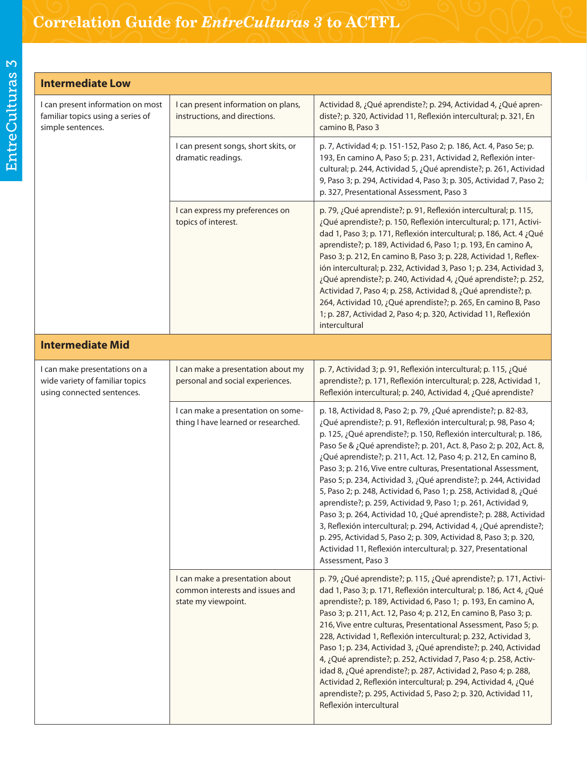| <b>Intermediate Low</b>                                                                        |                                                                                           |                                                                                                                                                                                                                                                                                                                                                                                                                                                                                                                                                                                                                                                                                                                                                                                                                                                                                                                                         |
|------------------------------------------------------------------------------------------------|-------------------------------------------------------------------------------------------|-----------------------------------------------------------------------------------------------------------------------------------------------------------------------------------------------------------------------------------------------------------------------------------------------------------------------------------------------------------------------------------------------------------------------------------------------------------------------------------------------------------------------------------------------------------------------------------------------------------------------------------------------------------------------------------------------------------------------------------------------------------------------------------------------------------------------------------------------------------------------------------------------------------------------------------------|
| I can present information on most<br>familiar topics using a series of<br>simple sentences.    | I can present information on plans,<br>instructions, and directions.                      | Actividad 8, ¿Qué aprendiste?; p. 294, Actividad 4, ¿Qué apren-<br>diste?; p. 320, Actividad 11, Reflexión intercultural; p. 321, En<br>camino B, Paso 3                                                                                                                                                                                                                                                                                                                                                                                                                                                                                                                                                                                                                                                                                                                                                                                |
|                                                                                                | I can present songs, short skits, or<br>dramatic readings.                                | p. 7, Actividad 4; p. 151-152, Paso 2; p. 186, Act. 4, Paso 5e; p.<br>193, En camino A, Paso 5; p. 231, Actividad 2, Reflexión inter-<br>cultural; p. 244, Actividad 5, ¿Qué aprendiste?; p. 261, Actividad<br>9, Paso 3; p. 294, Actividad 4, Paso 3; p. 305, Actividad 7, Paso 2;<br>p. 327, Presentational Assessment, Paso 3                                                                                                                                                                                                                                                                                                                                                                                                                                                                                                                                                                                                        |
|                                                                                                | I can express my preferences on<br>topics of interest.                                    | p. 79, ¿Qué aprendiste?; p. 91, Reflexión intercultural; p. 115,<br>¿Qué aprendiste?; p. 150, Reflexión intercultural; p. 171, Activi-<br>dad 1, Paso 3; p. 171, Reflexión intercultural; p. 186, Act. 4 ¿Qué<br>aprendiste?; p. 189, Actividad 6, Paso 1; p. 193, En camino A,<br>Paso 3; p. 212, En camino B, Paso 3; p. 228, Actividad 1, Reflex-<br>ión intercultural; p. 232, Actividad 3, Paso 1; p. 234, Actividad 3,<br>¿Qué aprendiste?; p. 240, Actividad 4, ¿Qué aprendiste?; p. 252,<br>Actividad 7, Paso 4; p. 258, Actividad 8, ¿Qué aprendiste?; p.<br>264, Actividad 10, ¿Qué aprendiste?; p. 265, En camino B, Paso<br>1; p. 287, Actividad 2, Paso 4; p. 320, Actividad 11, Reflexión<br>intercultural                                                                                                                                                                                                                |
| <b>Intermediate Mid</b>                                                                        |                                                                                           |                                                                                                                                                                                                                                                                                                                                                                                                                                                                                                                                                                                                                                                                                                                                                                                                                                                                                                                                         |
| I can make presentations on a<br>wide variety of familiar topics<br>using connected sentences. | I can make a presentation about my<br>personal and social experiences.                    | p. 7, Actividad 3; p. 91, Reflexión intercultural; p. 115, ¿Qué<br>aprendiste?; p. 171, Reflexión intercultural; p. 228, Actividad 1,<br>Reflexión intercultural; p. 240, Actividad 4, ¿Qué aprendiste?                                                                                                                                                                                                                                                                                                                                                                                                                                                                                                                                                                                                                                                                                                                                 |
|                                                                                                | I can make a presentation on some-<br>thing I have learned or researched.                 | p. 18, Actividad 8, Paso 2; p. 79, ¿Qué aprendiste?; p. 82-83,<br>¿Qué aprendiste?; p. 91, Reflexión intercultural; p. 98, Paso 4;<br>p. 125, ¿Qué aprendiste?; p. 150, Reflexión intercultural; p. 186,<br>Paso 5e & ¿Qué aprendiste?; p. 201, Act. 8, Paso 2; p. 202, Act. 8,<br>¿Qué aprendiste?; p. 211, Act. 12, Paso 4; p. 212, En camino B,<br>Paso 3; p. 216, Vive entre culturas, Presentational Assessment,<br>Paso 5; p. 234, Actividad 3, ¿Qué aprendiste?; p. 244, Actividad<br>5, Paso 2; p. 248, Actividad 6, Paso 1; p. 258, Actividad 8, ¿Qué<br>aprendiste?; p. 259, Actividad 9, Paso 1; p. 261, Actividad 9,<br>Paso 3; p. 264, Actividad 10, ¿Qué aprendiste?; p. 288, Actividad<br>3, Reflexión intercultural; p. 294, Actividad 4, ¿Qué aprendiste?;<br>p. 295, Actividad 5, Paso 2; p. 309, Actividad 8, Paso 3; p. 320,<br>Actividad 11, Reflexión intercultural; p. 327, Presentational<br>Assessment, Paso 3 |
|                                                                                                | I can make a presentation about<br>common interests and issues and<br>state my viewpoint. | p. 79, ¿Qué aprendiste?; p. 115, ¿Qué aprendiste?; p. 171, Activi-<br>dad 1, Paso 3; p. 171, Reflexión intercultural; p. 186, Act 4, ¿Qué<br>aprendiste?; p. 189, Actividad 6, Paso 1; p. 193, En camino A,<br>Paso 3; p. 211, Act. 12, Paso 4; p. 212, En camino B, Paso 3; p.<br>216, Vive entre culturas, Presentational Assessment, Paso 5; p.<br>228, Actividad 1, Reflexión intercultural; p. 232, Actividad 3,<br>Paso 1; p. 234, Actividad 3, ¿Qué aprendiste?; p. 240, Actividad<br>4, ¿Qué aprendiste?; p. 252, Actividad 7, Paso 4; p. 258, Activ-<br>idad 8, ¿Qué aprendiste?; p. 287, Actividad 2, Paso 4; p. 288,<br>Actividad 2, Reflexión intercultural; p. 294, Actividad 4, ¿Qué<br>aprendiste?; p. 295, Actividad 5, Paso 2; p. 320, Actividad 11,<br>Reflexión intercultural                                                                                                                                        |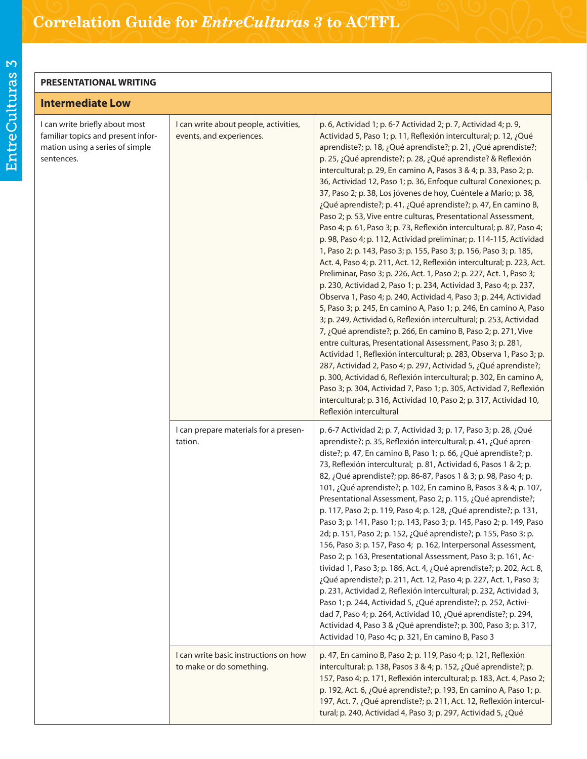# **PRESENTATIONAL WRITING**

| <b>Intermediate Low</b>                                                                                               |                                                                   |                                                                                                                                                                                                                                                                                                                                                                                                                                                                                                                                                                                                                                                                                                                                                                                                                                                                                                                                                                                                                                                                                                                                                                                                                                                                                                                                                                                                                                                                                                                                                                                                                                                                                                                                                                                                           |  |
|-----------------------------------------------------------------------------------------------------------------------|-------------------------------------------------------------------|-----------------------------------------------------------------------------------------------------------------------------------------------------------------------------------------------------------------------------------------------------------------------------------------------------------------------------------------------------------------------------------------------------------------------------------------------------------------------------------------------------------------------------------------------------------------------------------------------------------------------------------------------------------------------------------------------------------------------------------------------------------------------------------------------------------------------------------------------------------------------------------------------------------------------------------------------------------------------------------------------------------------------------------------------------------------------------------------------------------------------------------------------------------------------------------------------------------------------------------------------------------------------------------------------------------------------------------------------------------------------------------------------------------------------------------------------------------------------------------------------------------------------------------------------------------------------------------------------------------------------------------------------------------------------------------------------------------------------------------------------------------------------------------------------------------|--|
| I can write briefly about most<br>familiar topics and present infor-<br>mation using a series of simple<br>sentences. | I can write about people, activities,<br>events, and experiences. | p. 6, Actividad 1; p. 6-7 Actividad 2; p. 7, Actividad 4; p. 9,<br>Actividad 5, Paso 1; p. 11, Reflexión intercultural; p. 12, ¿Qué<br>aprendiste?; p. 18, ¿Qué aprendiste?; p. 21, ¿Qué aprendiste?;<br>p. 25, ¿Qué aprendiste?; p. 28, ¿Qué aprendiste? & Reflexión<br>intercultural; p. 29, En camino A, Pasos 3 & 4; p. 33, Paso 2; p.<br>36, Actividad 12, Paso 1; p. 36, Enfoque cultural Conexiones; p.<br>37, Paso 2; p. 38, Los jóvenes de hoy, Cuéntele a Mario; p. 38,<br>¿Qué aprendiste?; p. 41, ¿Qué aprendiste?; p. 47, En camino B,<br>Paso 2; p. 53, Vive entre culturas, Presentational Assessment,<br>Paso 4; p. 61, Paso 3; p. 73, Reflexión intercultural; p. 87, Paso 4;<br>p. 98, Paso 4; p. 112, Actividad preliminar; p. 114-115, Actividad<br>1, Paso 2; p. 143, Paso 3; p. 155, Paso 3; p. 156, Paso 3; p. 185,<br>Act. 4, Paso 4; p. 211, Act. 12, Reflexión intercultural; p. 223, Act.<br>Preliminar, Paso 3; p. 226, Act. 1, Paso 2; p. 227, Act. 1, Paso 3;<br>p. 230, Actividad 2, Paso 1; p. 234, Actividad 3, Paso 4; p. 237,<br>Observa 1, Paso 4; p. 240, Actividad 4, Paso 3; p. 244, Actividad<br>5, Paso 3; p. 245, En camino A, Paso 1; p. 246, En camino A, Paso<br>3; p. 249, Actividad 6, Reflexión intercultural; p. 253, Actividad<br>7, ¿Qué aprendiste?; p. 266, En camino B, Paso 2; p. 271, Vive<br>entre culturas, Presentational Assessment, Paso 3; p. 281,<br>Actividad 1, Reflexión intercultural; p. 283, Observa 1, Paso 3; p.<br>287, Actividad 2, Paso 4; p. 297, Actividad 5, ¿Qué aprendiste?;<br>p. 300, Actividad 6, Reflexión intercultural; p. 302, En camino A,<br>Paso 3; p. 304, Actividad 7, Paso 1; p. 305, Actividad 7, Reflexión<br>intercultural; p. 316, Actividad 10, Paso 2; p. 317, Actividad 10,<br>Reflexión intercultural |  |
|                                                                                                                       | I can prepare materials for a presen-<br>tation.                  | p. 6-7 Actividad 2; p. 7, Actividad 3; p. 17, Paso 3; p. 28, ¿Qué<br>aprendiste?; p. 35, Reflexión intercultural; p. 41, ¿Qué apren-<br>diste?; p. 47, En camino B, Paso 1; p. 66, ¿Qué aprendiste?; p.<br>73, Reflexión intercultural; p. 81, Actividad 6, Pasos 1 & 2; p.<br>82, ¿Qué aprendiste?; pp. 86-87, Pasos 1 & 3; p. 98, Paso 4; p.<br>101, ¿Qué aprendiste?; p. 102, En camino B, Pasos 3 & 4; p. 107,<br>Presentational Assessment, Paso 2; p. 115, ¿Qué aprendiste?;<br>p. 117, Paso 2; p. 119, Paso 4; p. 128, ¿Qué aprendiste?; p. 131,<br>Paso 3; p. 141, Paso 1; p. 143, Paso 3; p. 145, Paso 2; p. 149, Paso<br>2d; p. 151, Paso 2; p. 152, ¿Qué aprendiste?; p. 155, Paso 3; p.<br>156, Paso 3; p. 157, Paso 4; p. 162, Interpersonal Assessment,<br>Paso 2; p. 163, Presentational Assessment, Paso 3; p. 161, Ac-<br>tividad 1, Paso 3; p. 186, Act. 4, ¿Qué aprendiste?; p. 202, Act. 8,<br>¿Qué aprendiste?; p. 211, Act. 12, Paso 4; p. 227, Act. 1, Paso 3;<br>p. 231, Actividad 2, Reflexión intercultural; p. 232, Actividad 3,<br>Paso 1; p. 244, Actividad 5, ¿Qué aprendiste?; p. 252, Activi-<br>dad 7, Paso 4; p. 264, Actividad 10, ¿Qué aprendiste?; p. 294,<br>Actividad 4, Paso 3 & ¿Qué aprendiste?; p. 300, Paso 3; p. 317,<br>Actividad 10, Paso 4c; p. 321, En camino B, Paso 3                                                                                                                                                                                                                                                                                                                                                                                                                                                                                  |  |
|                                                                                                                       | I can write basic instructions on how<br>to make or do something. | p. 47, En camino B, Paso 2; p. 119, Paso 4; p. 121, Reflexión<br>intercultural; p. 138, Pasos 3 & 4; p. 152, ¿Qué aprendiste?; p.<br>157, Paso 4; p. 171, Reflexión intercultural; p. 183, Act. 4, Paso 2;<br>p. 192, Act. 6, ¿Qué aprendiste?; p. 193, En camino A, Paso 1; p.<br>197, Act. 7, ¿Qué aprendiste?; p. 211, Act. 12, Reflexión intercul-<br>tural; p. 240, Actividad 4, Paso 3; p. 297, Actividad 5, ¿Qué                                                                                                                                                                                                                                                                                                                                                                                                                                                                                                                                                                                                                                                                                                                                                                                                                                                                                                                                                                                                                                                                                                                                                                                                                                                                                                                                                                                   |  |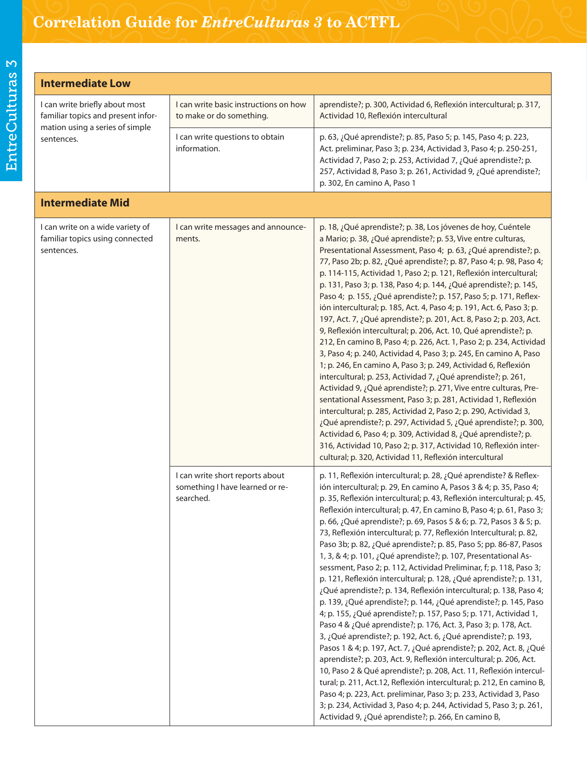| <b>Intermediate Low</b>                                                                                               |                                                                                 |                                                                                                                                                                                                                                                                                                                                                                                                                                                                                                                                                                                                                                                                                                                                                                                                                                                                                                                                                                                                                                                                                                                                                                                                                                                                                                                                                                                                                                                                                                                                                                                |  |  |
|-----------------------------------------------------------------------------------------------------------------------|---------------------------------------------------------------------------------|--------------------------------------------------------------------------------------------------------------------------------------------------------------------------------------------------------------------------------------------------------------------------------------------------------------------------------------------------------------------------------------------------------------------------------------------------------------------------------------------------------------------------------------------------------------------------------------------------------------------------------------------------------------------------------------------------------------------------------------------------------------------------------------------------------------------------------------------------------------------------------------------------------------------------------------------------------------------------------------------------------------------------------------------------------------------------------------------------------------------------------------------------------------------------------------------------------------------------------------------------------------------------------------------------------------------------------------------------------------------------------------------------------------------------------------------------------------------------------------------------------------------------------------------------------------------------------|--|--|
| I can write briefly about most<br>familiar topics and present infor-<br>mation using a series of simple<br>sentences. | I can write basic instructions on how<br>to make or do something.               | aprendiste?; p. 300, Actividad 6, Reflexión intercultural; p. 317,<br>Actividad 10, Reflexión intercultural                                                                                                                                                                                                                                                                                                                                                                                                                                                                                                                                                                                                                                                                                                                                                                                                                                                                                                                                                                                                                                                                                                                                                                                                                                                                                                                                                                                                                                                                    |  |  |
|                                                                                                                       | I can write questions to obtain<br>information.                                 | p. 63, ¿Qué aprendiste?; p. 85, Paso 5; p. 145, Paso 4; p. 223,<br>Act. preliminar, Paso 3; p. 234, Actividad 3, Paso 4; p. 250-251,<br>Actividad 7, Paso 2; p. 253, Actividad 7, ¿Qué aprendiste?; p.<br>257, Actividad 8, Paso 3; p. 261, Actividad 9, ¿Qué aprendiste?;<br>p. 302, En camino A, Paso 1                                                                                                                                                                                                                                                                                                                                                                                                                                                                                                                                                                                                                                                                                                                                                                                                                                                                                                                                                                                                                                                                                                                                                                                                                                                                      |  |  |
| <b>Intermediate Mid</b>                                                                                               |                                                                                 |                                                                                                                                                                                                                                                                                                                                                                                                                                                                                                                                                                                                                                                                                                                                                                                                                                                                                                                                                                                                                                                                                                                                                                                                                                                                                                                                                                                                                                                                                                                                                                                |  |  |
| I can write on a wide variety of<br>familiar topics using connected<br>sentences.                                     | I can write messages and announce-<br>ments.                                    | p. 18, ¿Qué aprendiste?; p. 38, Los jóvenes de hoy, Cuéntele<br>a Mario; p. 38, ¿Qué aprendiste?; p. 53, Vive entre culturas,<br>Presentational Assessment, Paso 4; p. 63, ¿Qué aprendiste?; p.<br>77, Paso 2b; p. 82, ¿Qué aprendiste?; p. 87, Paso 4; p. 98, Paso 4;<br>p. 114-115, Actividad 1, Paso 2; p. 121, Reflexión intercultural;<br>p. 131, Paso 3; p. 138, Paso 4; p. 144, ¿Qué aprendiste?; p. 145,<br>Paso 4; p. 155, ¿Qué aprendiste?; p. 157, Paso 5; p. 171, Reflex-<br>ión intercultural; p. 185, Act. 4, Paso 4; p. 191, Act. 6, Paso 3; p.<br>197, Act. 7, ¿Qué aprendiste?; p. 201, Act. 8, Paso 2; p. 203, Act.<br>9, Reflexión intercultural; p. 206, Act. 10, Qué aprendiste?; p.<br>212, En camino B, Paso 4; p. 226, Act. 1, Paso 2; p. 234, Actividad<br>3, Paso 4; p. 240, Actividad 4, Paso 3; p. 245, En camino A, Paso<br>1; p. 246, En camino A, Paso 3; p. 249, Actividad 6, Reflexión<br>intercultural; p. 253, Actividad 7, ¿Qué aprendiste?; p. 261,<br>Actividad 9, ¿Qué aprendiste?; p. 271, Vive entre culturas, Pre-<br>sentational Assessment, Paso 3; p. 281, Actividad 1, Reflexión<br>intercultural; p. 285, Actividad 2, Paso 2; p. 290, Actividad 3,<br>¿Qué aprendiste?; p. 297, Actividad 5, ¿Qué aprendiste?; p. 300,<br>Actividad 6, Paso 4; p. 309, Actividad 8, ¿Qué aprendiste?; p.<br>316, Actividad 10, Paso 2; p. 317, Actividad 10, Reflexión inter-<br>cultural; p. 320, Actividad 11, Reflexión intercultural                                                                                                       |  |  |
|                                                                                                                       | I can write short reports about<br>something I have learned or re-<br>searched. | p. 11, Reflexión intercultural; p. 28, ¿Qué aprendiste? & Reflex-<br>ión intercultural; p. 29, En camino A, Pasos 3 & 4; p. 35, Paso 4;<br>p. 35, Reflexión intercultural; p. 43, Reflexión intercultural; p. 45,<br>Reflexión intercultural; p. 47, En camino B, Paso 4; p. 61, Paso 3;<br>p. 66, ¿Qué aprendiste?; p. 69, Pasos 5 & 6; p. 72, Pasos 3 & 5; p.<br>73, Reflexión intercultural; p. 77, Reflexión Intercultural; p. 82,<br>Paso 3b; p. 82, ¿Qué aprendiste?; p. 85, Paso 5; pp. 86-87, Pasos<br>1, 3, & 4; p. 101, ¿Qué aprendiste?; p. 107, Presentational As-<br>sessment, Paso 2; p. 112, Actividad Preliminar, f; p. 118, Paso 3;<br>p. 121, Reflexión intercultural; p. 128, ¿Qué aprendiste?; p. 131,<br>¿Qué aprendiste?; p. 134, Reflexión intercultural; p. 138, Paso 4;<br>p. 139, ¿Qué aprendiste?; p. 144, ¿Qué aprendiste?; p. 145, Paso<br>4; p. 155, ¿Qué aprendiste?; p. 157, Paso 5; p. 171, Actividad 1,<br>Paso 4 & ¿Qué aprendiste?; p. 176, Act. 3, Paso 3; p. 178, Act.<br>3, ¿Qué aprendiste?; p. 192, Act. 6, ¿Qué aprendiste?; p. 193,<br>Pasos 1 & 4; p. 197, Act. 7, ¿Qué aprendiste?; p. 202, Act. 8, ¿Qué<br>aprendiste?; p. 203, Act. 9, Reflexión intercultural; p. 206, Act.<br>10, Paso 2 & Qué aprendiste?; p. 208, Act. 11, Reflexión intercul-<br>tural; p. 211, Act.12, Reflexión intercultural; p. 212, En camino B,<br>Paso 4; p. 223, Act. preliminar, Paso 3; p. 233, Actividad 3, Paso<br>3; p. 234, Actividad 3, Paso 4; p. 244, Actividad 5, Paso 3; p. 261,<br>Actividad 9, ¿Qué aprendiste?; p. 266, En camino B, |  |  |